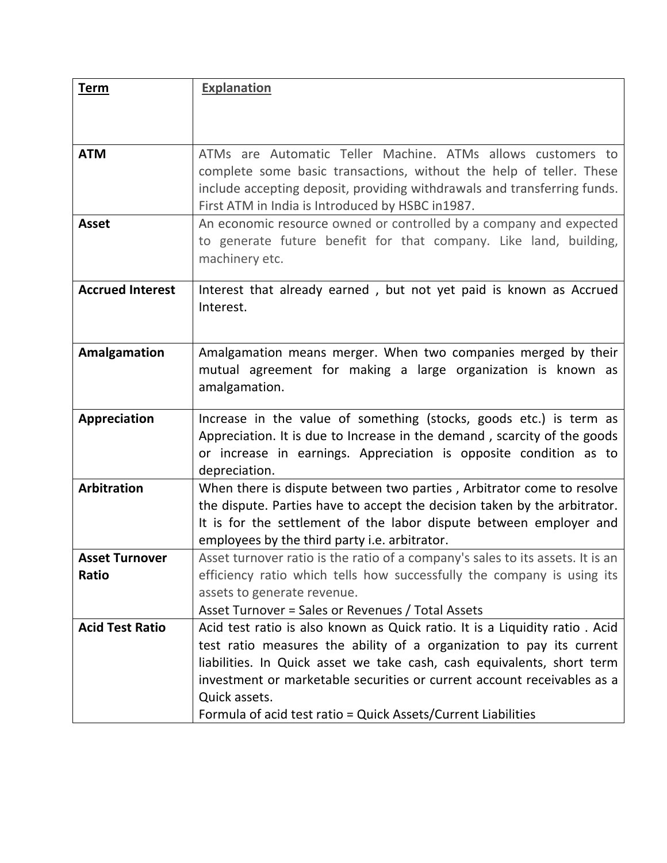| <b>Term</b>             | Explanation                                                                                                                                         |
|-------------------------|-----------------------------------------------------------------------------------------------------------------------------------------------------|
|                         |                                                                                                                                                     |
|                         |                                                                                                                                                     |
| <b>ATM</b>              | ATMs are Automatic Teller Machine. ATMs allows customers to                                                                                         |
|                         | complete some basic transactions, without the help of teller. These                                                                                 |
|                         | include accepting deposit, providing withdrawals and transferring funds.                                                                            |
|                         | First ATM in India is Introduced by HSBC in1987.                                                                                                    |
| <b>Asset</b>            | An economic resource owned or controlled by a company and expected                                                                                  |
|                         | to generate future benefit for that company. Like land, building,                                                                                   |
|                         | machinery etc.                                                                                                                                      |
|                         |                                                                                                                                                     |
| <b>Accrued Interest</b> | Interest that already earned, but not yet paid is known as Accrued<br>Interest.                                                                     |
|                         |                                                                                                                                                     |
|                         |                                                                                                                                                     |
| Amalgamation            | Amalgamation means merger. When two companies merged by their                                                                                       |
|                         | mutual agreement for making a large organization is known as                                                                                        |
|                         | amalgamation.                                                                                                                                       |
| Appreciation            | Increase in the value of something (stocks, goods etc.) is term as                                                                                  |
|                         | Appreciation. It is due to Increase in the demand, scarcity of the goods                                                                            |
|                         | or increase in earnings. Appreciation is opposite condition as to                                                                                   |
|                         | depreciation.                                                                                                                                       |
| <b>Arbitration</b>      | When there is dispute between two parties, Arbitrator come to resolve                                                                               |
|                         | the dispute. Parties have to accept the decision taken by the arbitrator.                                                                           |
|                         | It is for the settlement of the labor dispute between employer and                                                                                  |
|                         | employees by the third party i.e. arbitrator.                                                                                                       |
| <b>Asset Turnover</b>   | Asset turnover ratio is the ratio of a company's sales to its assets. It is an                                                                      |
| Ratio                   | efficiency ratio which tells how successfully the company is using its                                                                              |
|                         | assets to generate revenue.                                                                                                                         |
| <b>Acid Test Ratio</b>  | Asset Turnover = Sales or Revenues / Total Assets                                                                                                   |
|                         | Acid test ratio is also known as Quick ratio. It is a Liquidity ratio. Acid<br>test ratio measures the ability of a organization to pay its current |
|                         | liabilities. In Quick asset we take cash, cash equivalents, short term                                                                              |
|                         | investment or marketable securities or current account receivables as a                                                                             |
|                         | Quick assets.                                                                                                                                       |
|                         | Formula of acid test ratio = Quick Assets/Current Liabilities                                                                                       |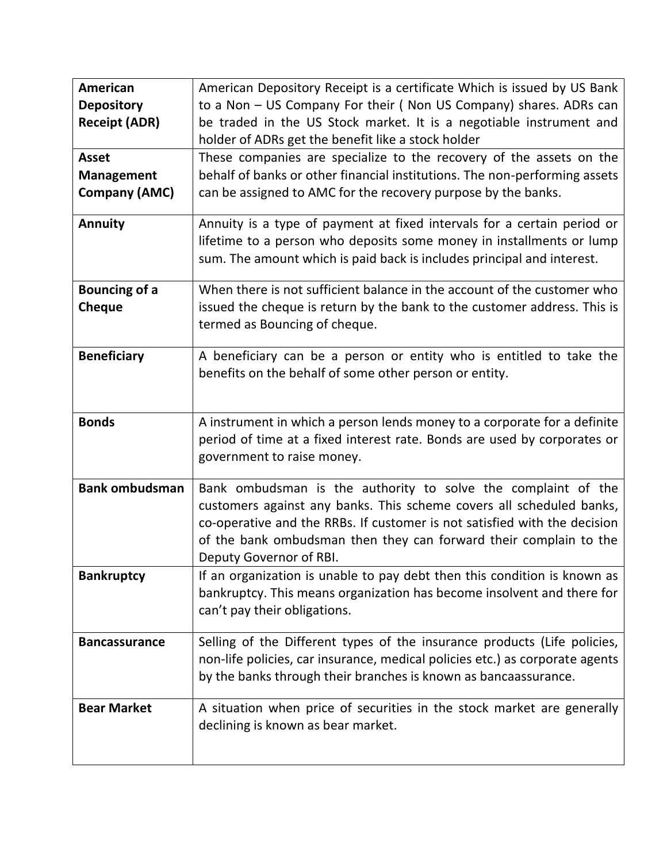| American<br><b>Depository</b><br><b>Receipt (ADR)</b><br><b>Asset</b><br><b>Management</b><br><b>Company (AMC)</b> | American Depository Receipt is a certificate Which is issued by US Bank<br>to a Non - US Company For their (Non US Company) shares. ADRs can<br>be traded in the US Stock market. It is a negotiable instrument and<br>holder of ADRs get the benefit like a stock holder<br>These companies are specialize to the recovery of the assets on the<br>behalf of banks or other financial institutions. The non-performing assets<br>can be assigned to AMC for the recovery purpose by the banks. |
|--------------------------------------------------------------------------------------------------------------------|-------------------------------------------------------------------------------------------------------------------------------------------------------------------------------------------------------------------------------------------------------------------------------------------------------------------------------------------------------------------------------------------------------------------------------------------------------------------------------------------------|
| <b>Annuity</b>                                                                                                     | Annuity is a type of payment at fixed intervals for a certain period or<br>lifetime to a person who deposits some money in installments or lump<br>sum. The amount which is paid back is includes principal and interest.                                                                                                                                                                                                                                                                       |
| <b>Bouncing of a</b><br><b>Cheque</b>                                                                              | When there is not sufficient balance in the account of the customer who<br>issued the cheque is return by the bank to the customer address. This is<br>termed as Bouncing of cheque.                                                                                                                                                                                                                                                                                                            |
| <b>Beneficiary</b>                                                                                                 | A beneficiary can be a person or entity who is entitled to take the<br>benefits on the behalf of some other person or entity.                                                                                                                                                                                                                                                                                                                                                                   |
| <b>Bonds</b>                                                                                                       | A instrument in which a person lends money to a corporate for a definite<br>period of time at a fixed interest rate. Bonds are used by corporates or<br>government to raise money.                                                                                                                                                                                                                                                                                                              |
| <b>Bank ombudsman</b>                                                                                              | Bank ombudsman is the authority to solve the complaint of the<br>customers against any banks. This scheme covers all scheduled banks,<br>co-operative and the RRBs. If customer is not satisfied with the decision<br>of the bank ombudsman then they can forward their complain to the<br>Deputy Governor of RBI.                                                                                                                                                                              |
| <b>Bankruptcy</b>                                                                                                  | If an organization is unable to pay debt then this condition is known as<br>bankruptcy. This means organization has become insolvent and there for<br>can't pay their obligations.                                                                                                                                                                                                                                                                                                              |
| <b>Bancassurance</b>                                                                                               | Selling of the Different types of the insurance products (Life policies,<br>non-life policies, car insurance, medical policies etc.) as corporate agents<br>by the banks through their branches is known as bancaassurance.                                                                                                                                                                                                                                                                     |
| <b>Bear Market</b>                                                                                                 | A situation when price of securities in the stock market are generally<br>declining is known as bear market.                                                                                                                                                                                                                                                                                                                                                                                    |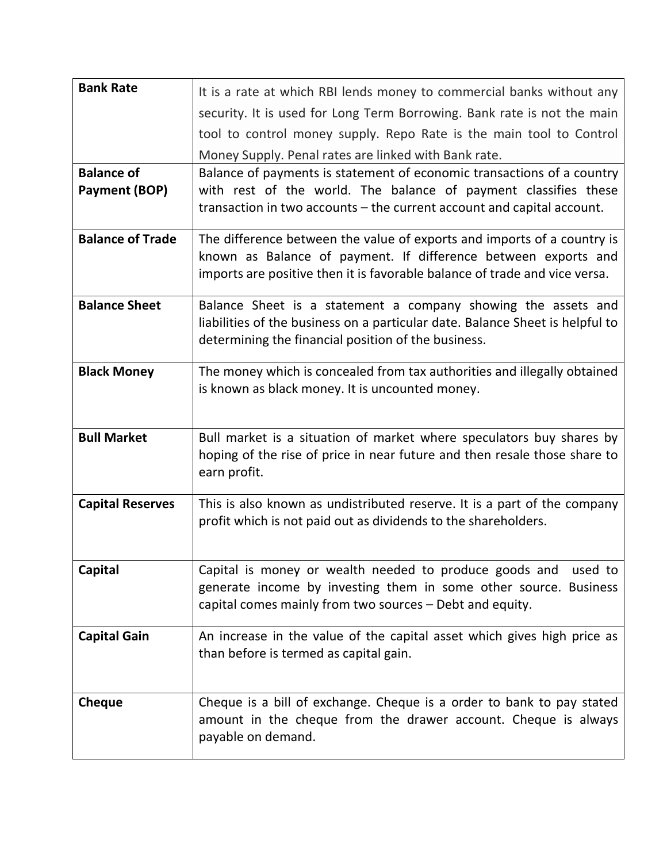| <b>Bank Rate</b>                   | It is a rate at which RBI lends money to commercial banks without any<br>security. It is used for Long Term Borrowing. Bank rate is not the main<br>tool to control money supply. Repo Rate is the main tool to Control |
|------------------------------------|-------------------------------------------------------------------------------------------------------------------------------------------------------------------------------------------------------------------------|
|                                    | Money Supply. Penal rates are linked with Bank rate.                                                                                                                                                                    |
| <b>Balance of</b><br>Payment (BOP) | Balance of payments is statement of economic transactions of a country<br>with rest of the world. The balance of payment classifies these<br>transaction in two accounts – the current account and capital account.     |
| <b>Balance of Trade</b>            | The difference between the value of exports and imports of a country is<br>known as Balance of payment. If difference between exports and<br>imports are positive then it is favorable balance of trade and vice versa. |
| <b>Balance Sheet</b>               | Balance Sheet is a statement a company showing the assets and<br>liabilities of the business on a particular date. Balance Sheet is helpful to<br>determining the financial position of the business.                   |
| <b>Black Money</b>                 | The money which is concealed from tax authorities and illegally obtained<br>is known as black money. It is uncounted money.                                                                                             |
| <b>Bull Market</b>                 | Bull market is a situation of market where speculators buy shares by<br>hoping of the rise of price in near future and then resale those share to<br>earn profit.                                                       |
| <b>Capital Reserves</b>            | This is also known as undistributed reserve. It is a part of the company<br>profit which is not paid out as dividends to the shareholders.                                                                              |
| <b>Capital</b>                     | Capital is money or wealth needed to produce goods and used to<br>generate income by investing them in some other source. Business<br>capital comes mainly from two sources - Debt and equity.                          |
| <b>Capital Gain</b>                | An increase in the value of the capital asset which gives high price as<br>than before is termed as capital gain.                                                                                                       |
| <b>Cheque</b>                      | Cheque is a bill of exchange. Cheque is a order to bank to pay stated<br>amount in the cheque from the drawer account. Cheque is always<br>payable on demand.                                                           |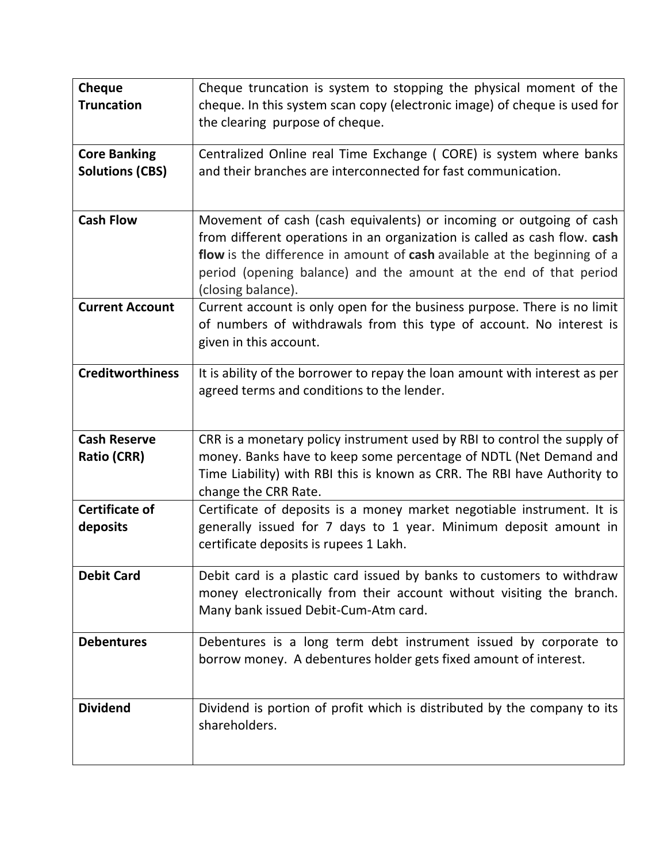| Cheque<br><b>Truncation</b>                   | Cheque truncation is system to stopping the physical moment of the<br>cheque. In this system scan copy (electronic image) of cheque is used for<br>the clearing purpose of cheque.                                                                                                                                      |
|-----------------------------------------------|-------------------------------------------------------------------------------------------------------------------------------------------------------------------------------------------------------------------------------------------------------------------------------------------------------------------------|
| <b>Core Banking</b><br><b>Solutions (CBS)</b> | Centralized Online real Time Exchange (CORE) is system where banks<br>and their branches are interconnected for fast communication.                                                                                                                                                                                     |
| <b>Cash Flow</b>                              | Movement of cash (cash equivalents) or incoming or outgoing of cash<br>from different operations in an organization is called as cash flow. cash<br>flow is the difference in amount of cash available at the beginning of a<br>period (opening balance) and the amount at the end of that period<br>(closing balance). |
| <b>Current Account</b>                        | Current account is only open for the business purpose. There is no limit<br>of numbers of withdrawals from this type of account. No interest is<br>given in this account.                                                                                                                                               |
| <b>Creditworthiness</b>                       | It is ability of the borrower to repay the loan amount with interest as per<br>agreed terms and conditions to the lender.                                                                                                                                                                                               |
| <b>Cash Reserve</b><br><b>Ratio (CRR)</b>     | CRR is a monetary policy instrument used by RBI to control the supply of<br>money. Banks have to keep some percentage of NDTL (Net Demand and<br>Time Liability) with RBI this is known as CRR. The RBI have Authority to<br>change the CRR Rate.                                                                       |
| <b>Certificate of</b><br>deposits             | Certificate of deposits is a money market negotiable instrument. It is<br>generally issued for 7 days to 1 year. Minimum deposit amount in<br>certificate deposits is rupees 1 Lakh.                                                                                                                                    |
| <b>Debit Card</b>                             | Debit card is a plastic card issued by banks to customers to withdraw<br>money electronically from their account without visiting the branch.<br>Many bank issued Debit-Cum-Atm card.                                                                                                                                   |
| <b>Debentures</b>                             | Debentures is a long term debt instrument issued by corporate to<br>borrow money. A debentures holder gets fixed amount of interest.                                                                                                                                                                                    |
| <b>Dividend</b>                               | Dividend is portion of profit which is distributed by the company to its<br>shareholders.                                                                                                                                                                                                                               |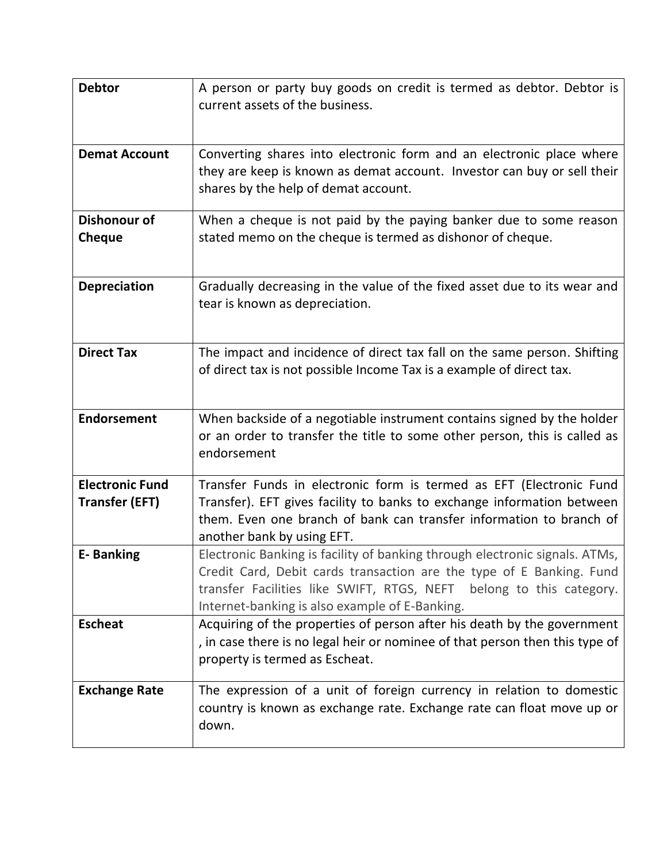| <b>Debtor</b>                                   | A person or party buy goods on credit is termed as debtor. Debtor is<br>current assets of the business.                                                                                                                                                                      |
|-------------------------------------------------|------------------------------------------------------------------------------------------------------------------------------------------------------------------------------------------------------------------------------------------------------------------------------|
| <b>Demat Account</b>                            | Converting shares into electronic form and an electronic place where<br>they are keep is known as demat account. Investor can buy or sell their<br>shares by the help of demat account.                                                                                      |
| <b>Dishonour of</b><br>Cheque                   | When a cheque is not paid by the paying banker due to some reason<br>stated memo on the cheque is termed as dishonor of cheque.                                                                                                                                              |
| <b>Depreciation</b>                             | Gradually decreasing in the value of the fixed asset due to its wear and<br>tear is known as depreciation.                                                                                                                                                                   |
| <b>Direct Tax</b>                               | The impact and incidence of direct tax fall on the same person. Shifting<br>of direct tax is not possible Income Tax is a example of direct tax.                                                                                                                             |
| <b>Endorsement</b>                              | When backside of a negotiable instrument contains signed by the holder<br>or an order to transfer the title to some other person, this is called as<br>endorsement                                                                                                           |
| <b>Electronic Fund</b><br><b>Transfer (EFT)</b> | Transfer Funds in electronic form is termed as EFT (Electronic Fund<br>Transfer). EFT gives facility to banks to exchange information between<br>them. Even one branch of bank can transfer information to branch of<br>another bank by using EFT.                           |
| <b>E-Banking</b>                                | Electronic Banking is facility of banking through electronic signals. ATMs,<br>Credit Card, Debit cards transaction are the type of E Banking. Fund<br>transfer Facilities like SWIFT, RTGS, NEFT belong to this category.<br>Internet-banking is also example of E-Banking. |
| <b>Escheat</b>                                  | Acquiring of the properties of person after his death by the government<br>, in case there is no legal heir or nominee of that person then this type of<br>property is termed as Escheat.                                                                                    |
| <b>Exchange Rate</b>                            | The expression of a unit of foreign currency in relation to domestic<br>country is known as exchange rate. Exchange rate can float move up or<br>down.                                                                                                                       |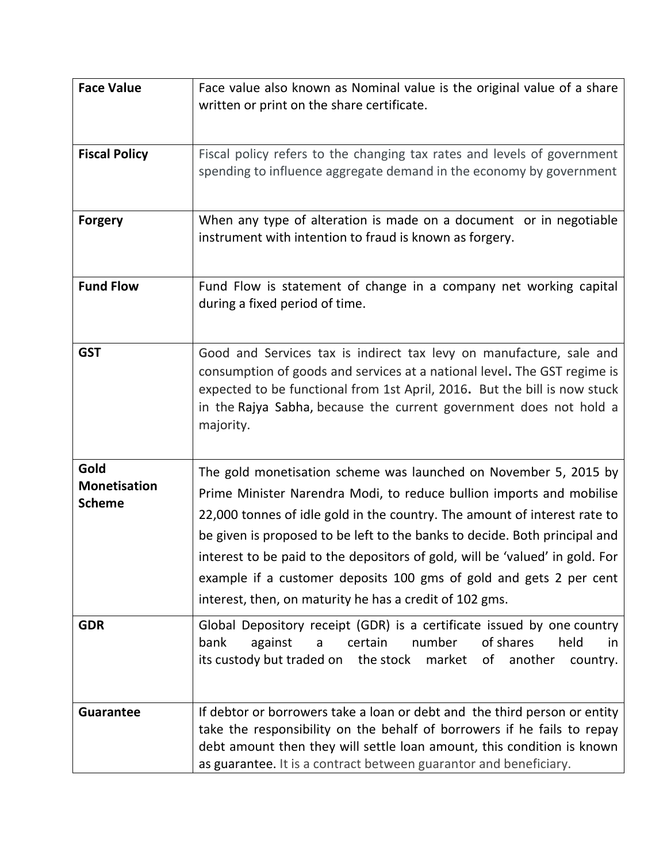| <b>Face Value</b>                            | Face value also known as Nominal value is the original value of a share<br>written or print on the share certificate.                                                                                                                                                                                                                                                                                                                                                                                                |
|----------------------------------------------|----------------------------------------------------------------------------------------------------------------------------------------------------------------------------------------------------------------------------------------------------------------------------------------------------------------------------------------------------------------------------------------------------------------------------------------------------------------------------------------------------------------------|
| <b>Fiscal Policy</b>                         | Fiscal policy refers to the changing tax rates and levels of government<br>spending to influence aggregate demand in the economy by government                                                                                                                                                                                                                                                                                                                                                                       |
| <b>Forgery</b>                               | When any type of alteration is made on a document or in negotiable<br>instrument with intention to fraud is known as forgery.                                                                                                                                                                                                                                                                                                                                                                                        |
| <b>Fund Flow</b>                             | Fund Flow is statement of change in a company net working capital<br>during a fixed period of time.                                                                                                                                                                                                                                                                                                                                                                                                                  |
| <b>GST</b>                                   | Good and Services tax is indirect tax levy on manufacture, sale and<br>consumption of goods and services at a national level. The GST regime is<br>expected to be functional from 1st April, 2016. But the bill is now stuck<br>in the Rajya Sabha, because the current government does not hold a<br>majority.                                                                                                                                                                                                      |
| Gold<br><b>Monetisation</b><br><b>Scheme</b> | The gold monetisation scheme was launched on November 5, 2015 by<br>Prime Minister Narendra Modi, to reduce bullion imports and mobilise<br>22,000 tonnes of idle gold in the country. The amount of interest rate to<br>be given is proposed to be left to the banks to decide. Both principal and<br>interest to be paid to the depositors of gold, will be 'valued' in gold. For<br>example if a customer deposits 100 gms of gold and gets 2 per cent<br>interest, then, on maturity he has a credit of 102 gms. |
| <b>GDR</b>                                   | Global Depository receipt (GDR) is a certificate issued by one country<br>number<br>of shares<br>bank<br>certain<br>held<br>against<br>a<br>in.<br>its custody but traded on the stock market<br>of<br>another<br>country.                                                                                                                                                                                                                                                                                           |
| <b>Guarantee</b>                             | If debtor or borrowers take a loan or debt and the third person or entity<br>take the responsibility on the behalf of borrowers if he fails to repay<br>debt amount then they will settle loan amount, this condition is known<br>as guarantee. It is a contract between guarantor and beneficiary.                                                                                                                                                                                                                  |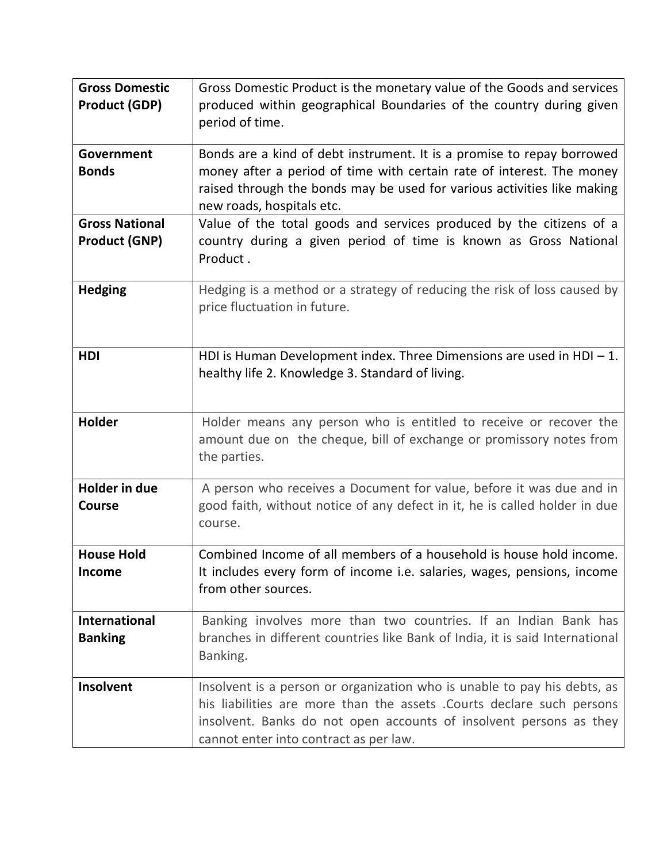| <b>Gross Domestic</b><br><b>Product (GDP)</b> | Gross Domestic Product is the monetary value of the Goods and services<br>produced within geographical Boundaries of the country during given<br>period of time.                                                                                                   |
|-----------------------------------------------|--------------------------------------------------------------------------------------------------------------------------------------------------------------------------------------------------------------------------------------------------------------------|
| Government<br><b>Bonds</b>                    | Bonds are a kind of debt instrument. It is a promise to repay borrowed<br>money after a period of time with certain rate of interest. The money<br>raised through the bonds may be used for various activities like making<br>new roads, hospitals etc.            |
| <b>Gross National</b><br><b>Product (GNP)</b> | Value of the total goods and services produced by the citizens of a<br>country during a given period of time is known as Gross National<br>Product.                                                                                                                |
| <b>Hedging</b>                                | Hedging is a method or a strategy of reducing the risk of loss caused by<br>price fluctuation in future.                                                                                                                                                           |
| <b>HDI</b>                                    | HDI is Human Development index. Three Dimensions are used in HDI $-1$ .<br>healthy life 2. Knowledge 3. Standard of living.                                                                                                                                        |
| Holder                                        | Holder means any person who is entitled to receive or recover the<br>amount due on the cheque, bill of exchange or promissory notes from<br>the parties.                                                                                                           |
| <b>Holder in due</b><br><b>Course</b>         | A person who receives a Document for value, before it was due and in<br>good faith, without notice of any defect in it, he is called holder in due<br>course.                                                                                                      |
| <b>House Hold</b><br>Income                   | Combined Income of all members of a household is house hold income.<br>It includes every form of income i.e. salaries, wages, pensions, income<br>from other sources.                                                                                              |
| <b>International</b><br><b>Banking</b>        | Banking involves more than two countries. If an Indian Bank has<br>branches in different countries like Bank of India, it is said International<br>Banking.                                                                                                        |
| Insolvent                                     | Insolvent is a person or organization who is unable to pay his debts, as<br>his liabilities are more than the assets . Courts declare such persons<br>insolvent. Banks do not open accounts of insolvent persons as they<br>cannot enter into contract as per law. |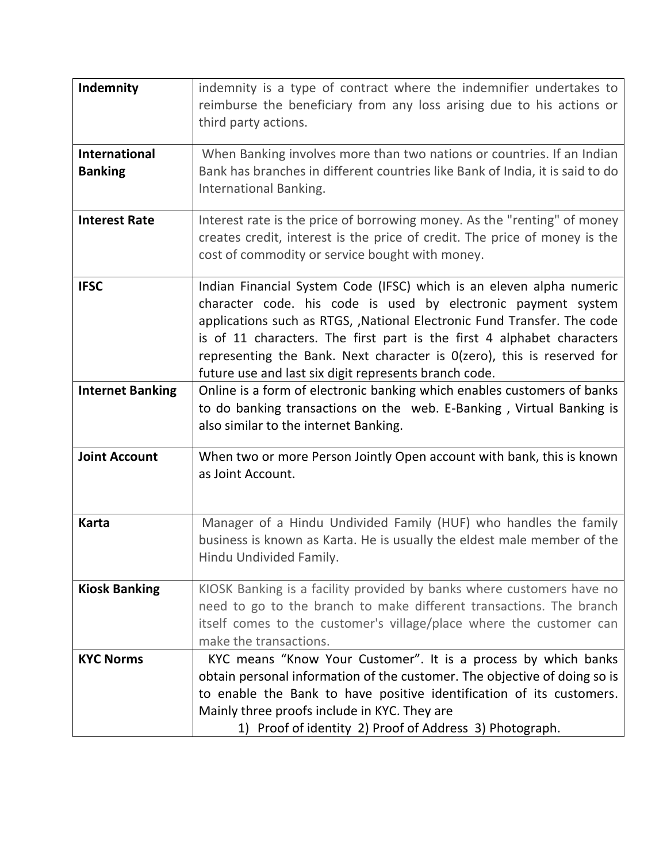| Indemnity                              | indemnity is a type of contract where the indemnifier undertakes to<br>reimburse the beneficiary from any loss arising due to his actions or<br>third party actions.                                                                                                                                                                                                                                                              |
|----------------------------------------|-----------------------------------------------------------------------------------------------------------------------------------------------------------------------------------------------------------------------------------------------------------------------------------------------------------------------------------------------------------------------------------------------------------------------------------|
| <b>International</b><br><b>Banking</b> | When Banking involves more than two nations or countries. If an Indian<br>Bank has branches in different countries like Bank of India, it is said to do<br>International Banking.                                                                                                                                                                                                                                                 |
| <b>Interest Rate</b>                   | Interest rate is the price of borrowing money. As the "renting" of money<br>creates credit, interest is the price of credit. The price of money is the<br>cost of commodity or service bought with money.                                                                                                                                                                                                                         |
| <b>IFSC</b>                            | Indian Financial System Code (IFSC) which is an eleven alpha numeric<br>character code. his code is used by electronic payment system<br>applications such as RTGS, , National Electronic Fund Transfer. The code<br>is of 11 characters. The first part is the first 4 alphabet characters<br>representing the Bank. Next character is $O(zero)$ , this is reserved for<br>future use and last six digit represents branch code. |
| <b>Internet Banking</b>                | Online is a form of electronic banking which enables customers of banks<br>to do banking transactions on the web. E-Banking, Virtual Banking is<br>also similar to the internet Banking.                                                                                                                                                                                                                                          |
| <b>Joint Account</b>                   | When two or more Person Jointly Open account with bank, this is known<br>as Joint Account.                                                                                                                                                                                                                                                                                                                                        |
| <b>Karta</b>                           | Manager of a Hindu Undivided Family (HUF) who handles the family<br>business is known as Karta. He is usually the eldest male member of the<br>Hindu Undivided Family.                                                                                                                                                                                                                                                            |
| <b>Kiosk Banking</b>                   | KIOSK Banking is a facility provided by banks where customers have no<br>need to go to the branch to make different transactions. The branch<br>itself comes to the customer's village/place where the customer can<br>make the transactions.                                                                                                                                                                                     |
| <b>KYC Norms</b>                       | KYC means "Know Your Customer". It is a process by which banks<br>obtain personal information of the customer. The objective of doing so is<br>to enable the Bank to have positive identification of its customers.<br>Mainly three proofs include in KYC. They are<br>1) Proof of identity 2) Proof of Address 3) Photograph.                                                                                                    |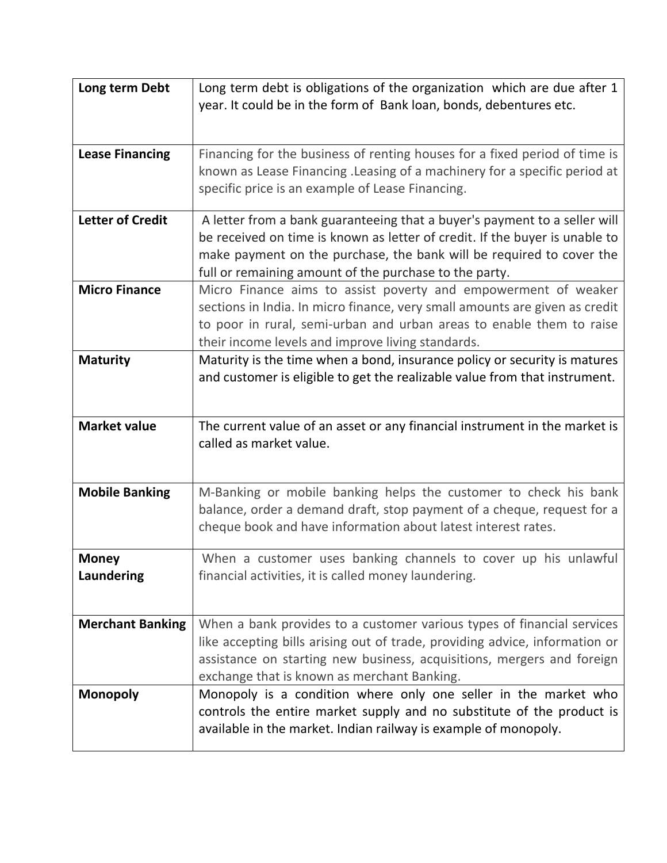| Long term Debt             | Long term debt is obligations of the organization which are due after 1<br>year. It could be in the form of Bank loan, bonds, debentures etc.                                                                                                                                              |
|----------------------------|--------------------------------------------------------------------------------------------------------------------------------------------------------------------------------------------------------------------------------------------------------------------------------------------|
| <b>Lease Financing</b>     | Financing for the business of renting houses for a fixed period of time is<br>known as Lease Financing . Leasing of a machinery for a specific period at<br>specific price is an example of Lease Financing.                                                                               |
| <b>Letter of Credit</b>    | A letter from a bank guaranteeing that a buyer's payment to a seller will<br>be received on time is known as letter of credit. If the buyer is unable to<br>make payment on the purchase, the bank will be required to cover the<br>full or remaining amount of the purchase to the party. |
| <b>Micro Finance</b>       | Micro Finance aims to assist poverty and empowerment of weaker<br>sections in India. In micro finance, very small amounts are given as credit<br>to poor in rural, semi-urban and urban areas to enable them to raise<br>their income levels and improve living standards.                 |
| <b>Maturity</b>            | Maturity is the time when a bond, insurance policy or security is matures<br>and customer is eligible to get the realizable value from that instrument.                                                                                                                                    |
| <b>Market value</b>        | The current value of an asset or any financial instrument in the market is<br>called as market value.                                                                                                                                                                                      |
| <b>Mobile Banking</b>      | M-Banking or mobile banking helps the customer to check his bank<br>balance, order a demand draft, stop payment of a cheque, request for a<br>cheque book and have information about latest interest rates.                                                                                |
| <b>Money</b><br>Laundering | When a customer uses banking channels to cover up his unlawful<br>financial activities, it is called money laundering.                                                                                                                                                                     |
| <b>Merchant Banking</b>    | When a bank provides to a customer various types of financial services<br>like accepting bills arising out of trade, providing advice, information or<br>assistance on starting new business, acquisitions, mergers and foreign<br>exchange that is known as merchant Banking.             |
| <b>Monopoly</b>            | Monopoly is a condition where only one seller in the market who<br>controls the entire market supply and no substitute of the product is<br>available in the market. Indian railway is example of monopoly.                                                                                |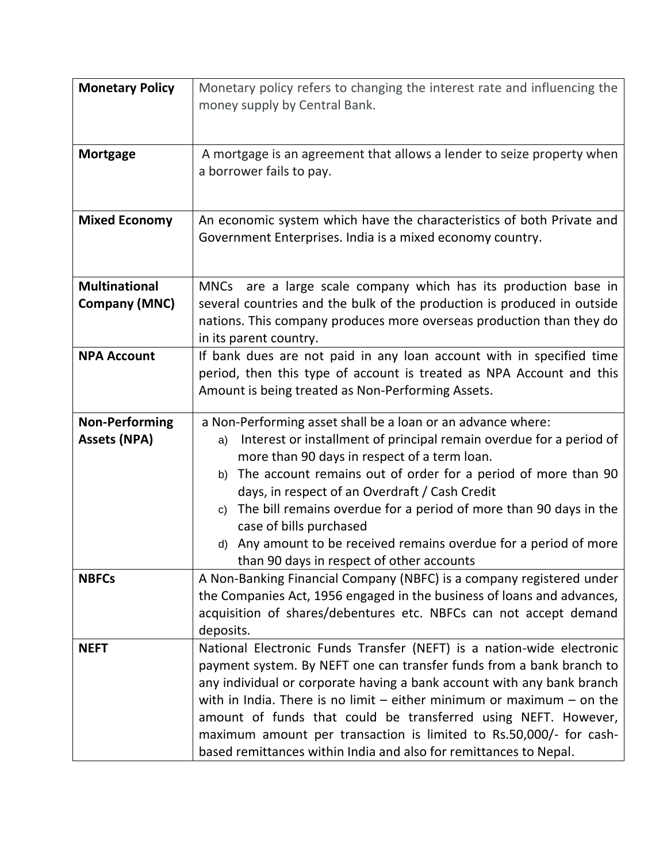| <b>Monetary Policy</b>                       | Monetary policy refers to changing the interest rate and influencing the<br>money supply by Central Bank.                                                                                                                                                                                                                                                                                                                                                                                                                                    |
|----------------------------------------------|----------------------------------------------------------------------------------------------------------------------------------------------------------------------------------------------------------------------------------------------------------------------------------------------------------------------------------------------------------------------------------------------------------------------------------------------------------------------------------------------------------------------------------------------|
| <b>Mortgage</b>                              | A mortgage is an agreement that allows a lender to seize property when<br>a borrower fails to pay.                                                                                                                                                                                                                                                                                                                                                                                                                                           |
| <b>Mixed Economy</b>                         | An economic system which have the characteristics of both Private and<br>Government Enterprises. India is a mixed economy country.                                                                                                                                                                                                                                                                                                                                                                                                           |
| <b>Multinational</b><br><b>Company (MNC)</b> | MNCs are a large scale company which has its production base in<br>several countries and the bulk of the production is produced in outside<br>nations. This company produces more overseas production than they do<br>in its parent country.                                                                                                                                                                                                                                                                                                 |
| <b>NPA Account</b>                           | If bank dues are not paid in any loan account with in specified time<br>period, then this type of account is treated as NPA Account and this<br>Amount is being treated as Non-Performing Assets.                                                                                                                                                                                                                                                                                                                                            |
| <b>Non-Performing</b><br><b>Assets (NPA)</b> | a Non-Performing asset shall be a loan or an advance where:<br>Interest or installment of principal remain overdue for a period of<br>a)<br>more than 90 days in respect of a term loan.<br>The account remains out of order for a period of more than 90<br>b)<br>days, in respect of an Overdraft / Cash Credit<br>The bill remains overdue for a period of more than 90 days in the<br>c)<br>case of bills purchased<br>Any amount to be received remains overdue for a period of more<br>d)<br>than 90 days in respect of other accounts |
| <b>NBFCs</b>                                 | A Non-Banking Financial Company (NBFC) is a company registered under<br>the Companies Act, 1956 engaged in the business of loans and advances,<br>acquisition of shares/debentures etc. NBFCs can not accept demand<br>deposits.                                                                                                                                                                                                                                                                                                             |
| <b>NEFT</b>                                  | National Electronic Funds Transfer (NEFT) is a nation-wide electronic<br>payment system. By NEFT one can transfer funds from a bank branch to<br>any individual or corporate having a bank account with any bank branch<br>with in India. There is no limit $-$ either minimum or maximum $-$ on the<br>amount of funds that could be transferred using NEFT. However,<br>maximum amount per transaction is limited to Rs.50,000/- for cash-<br>based remittances within India and also for remittances to Nepal.                            |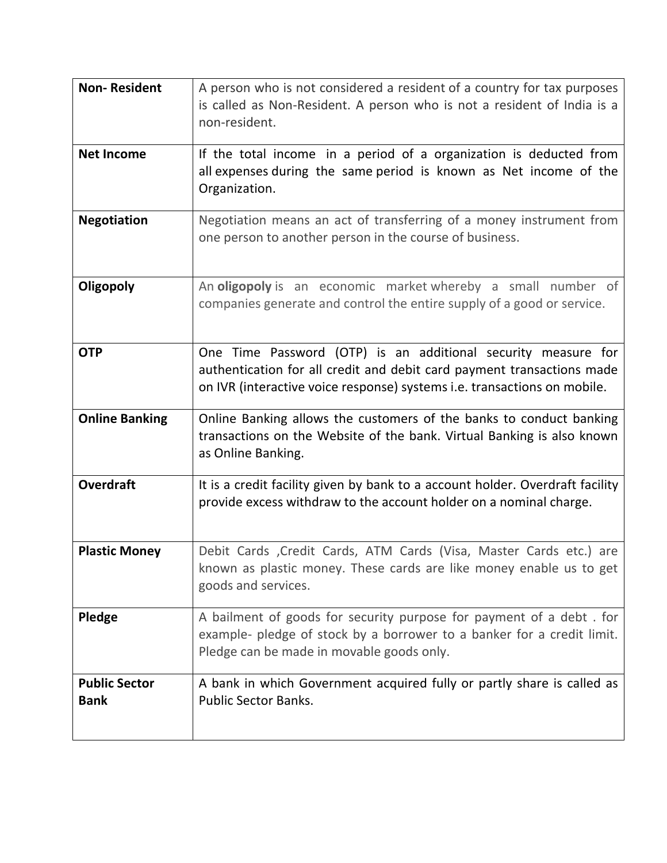| <b>Non-Resident</b>                 | A person who is not considered a resident of a country for tax purposes<br>is called as Non-Resident. A person who is not a resident of India is a<br>non-resident.                                                 |
|-------------------------------------|---------------------------------------------------------------------------------------------------------------------------------------------------------------------------------------------------------------------|
| <b>Net Income</b>                   | If the total income in a period of a organization is deducted from<br>all expenses during the same period is known as Net income of the<br>Organization.                                                            |
| <b>Negotiation</b>                  | Negotiation means an act of transferring of a money instrument from<br>one person to another person in the course of business.                                                                                      |
| Oligopoly                           | An oligopoly is an economic market whereby a small number of<br>companies generate and control the entire supply of a good or service.                                                                              |
| <b>OTP</b>                          | One Time Password (OTP) is an additional security measure for<br>authentication for all credit and debit card payment transactions made<br>on IVR (interactive voice response) systems i.e. transactions on mobile. |
| <b>Online Banking</b>               | Online Banking allows the customers of the banks to conduct banking<br>transactions on the Website of the bank. Virtual Banking is also known<br>as Online Banking.                                                 |
| <b>Overdraft</b>                    | It is a credit facility given by bank to a account holder. Overdraft facility<br>provide excess withdraw to the account holder on a nominal charge.                                                                 |
| <b>Plastic Money</b>                | Debit Cards , Credit Cards, ATM Cards (Visa, Master Cards etc.) are<br>known as plastic money. These cards are like money enable us to get<br>goods and services.                                                   |
| Pledge                              | A bailment of goods for security purpose for payment of a debt. for<br>example- pledge of stock by a borrower to a banker for a credit limit.<br>Pledge can be made in movable goods only.                          |
| <b>Public Sector</b><br><b>Bank</b> | A bank in which Government acquired fully or partly share is called as<br><b>Public Sector Banks.</b>                                                                                                               |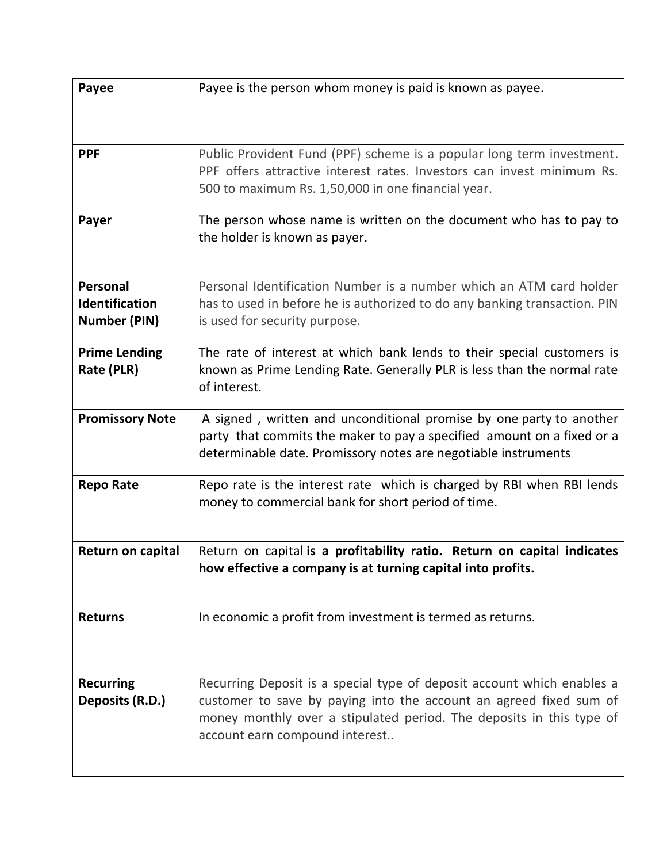| Payee                                                    | Payee is the person whom money is paid is known as payee.                                                                                                                                                                                              |
|----------------------------------------------------------|--------------------------------------------------------------------------------------------------------------------------------------------------------------------------------------------------------------------------------------------------------|
| <b>PPF</b>                                               | Public Provident Fund (PPF) scheme is a popular long term investment.<br>PPF offers attractive interest rates. Investors can invest minimum Rs.<br>500 to maximum Rs. 1,50,000 in one financial year.                                                  |
| Payer                                                    | The person whose name is written on the document who has to pay to<br>the holder is known as payer.                                                                                                                                                    |
| Personal<br><b>Identification</b><br><b>Number (PIN)</b> | Personal Identification Number is a number which an ATM card holder<br>has to used in before he is authorized to do any banking transaction. PIN<br>is used for security purpose.                                                                      |
| <b>Prime Lending</b><br>Rate (PLR)                       | The rate of interest at which bank lends to their special customers is<br>known as Prime Lending Rate. Generally PLR is less than the normal rate<br>of interest.                                                                                      |
| <b>Promissory Note</b>                                   | A signed, written and unconditional promise by one party to another<br>party that commits the maker to pay a specified amount on a fixed or a<br>determinable date. Promissory notes are negotiable instruments                                        |
| <b>Repo Rate</b>                                         | Repo rate is the interest rate which is charged by RBI when RBI lends<br>money to commercial bank for short period of time.                                                                                                                            |
| <b>Return on capital</b>                                 | Return on capital is a profitability ratio. Return on capital indicates<br>how effective a company is at turning capital into profits.                                                                                                                 |
| <b>Returns</b>                                           | In economic a profit from investment is termed as returns.                                                                                                                                                                                             |
| <b>Recurring</b><br>Deposits (R.D.)                      | Recurring Deposit is a special type of deposit account which enables a<br>customer to save by paying into the account an agreed fixed sum of<br>money monthly over a stipulated period. The deposits in this type of<br>account earn compound interest |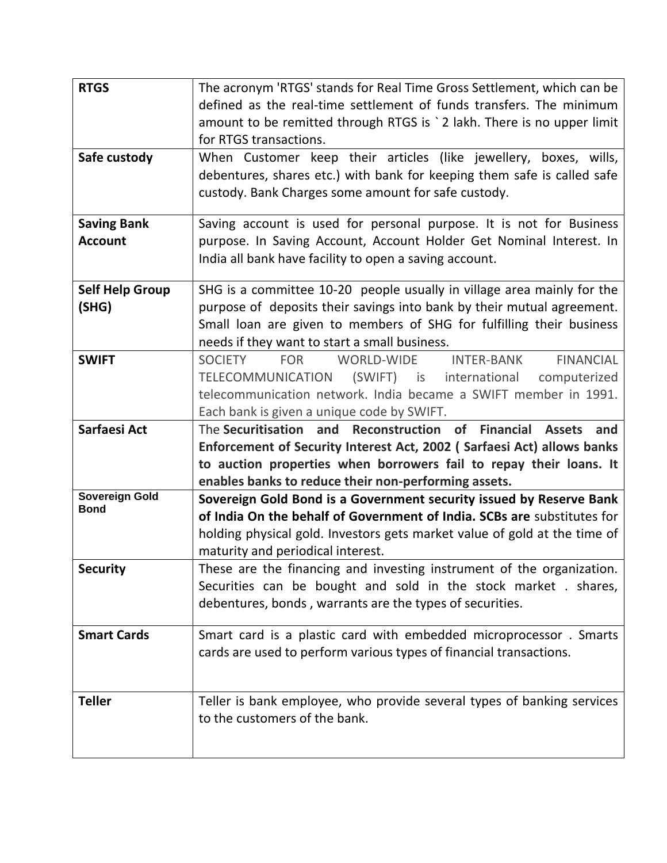| <b>RTGS</b>                          | The acronym 'RTGS' stands for Real Time Gross Settlement, which can be<br>defined as the real-time settlement of funds transfers. The minimum<br>amount to be remitted through RTGS is `2 lakh. There is no upper limit<br>for RTGS transactions.                         |
|--------------------------------------|---------------------------------------------------------------------------------------------------------------------------------------------------------------------------------------------------------------------------------------------------------------------------|
| Safe custody                         | When Customer keep their articles (like jewellery, boxes, wills,<br>debentures, shares etc.) with bank for keeping them safe is called safe<br>custody. Bank Charges some amount for safe custody.                                                                        |
| <b>Saving Bank</b><br><b>Account</b> | Saving account is used for personal purpose. It is not for Business<br>purpose. In Saving Account, Account Holder Get Nominal Interest. In<br>India all bank have facility to open a saving account.                                                                      |
| <b>Self Help Group</b><br>(SHG)      | SHG is a committee 10-20 people usually in village area mainly for the<br>purpose of deposits their savings into bank by their mutual agreement.<br>Small loan are given to members of SHG for fulfilling their business<br>needs if they want to start a small business. |
| <b>SWIFT</b>                         | <b>INTER-BANK</b><br><b>FINANCIAL</b><br><b>SOCIETY</b><br><b>FOR</b><br>WORLD-WIDE<br>TELECOMMUNICATION (SWIFT) is international computerized<br>telecommunication network. India became a SWIFT member in 1991.<br>Each bank is given a unique code by SWIFT.           |
| Sarfaesi Act                         | The Securitisation and Reconstruction of Financial Assets<br>and<br>Enforcement of Security Interest Act, 2002 (Sarfaesi Act) allows banks<br>to auction properties when borrowers fail to repay their loans. It<br>enables banks to reduce their non-performing assets.  |
| <b>Sovereign Gold</b><br><b>Bond</b> | Sovereign Gold Bond is a Government security issued by Reserve Bank<br>of India On the behalf of Government of India. SCBs are substitutes for<br>holding physical gold. Investors gets market value of gold at the time of<br>maturity and periodical interest.          |
| <b>Security</b>                      | These are the financing and investing instrument of the organization.<br>Securities can be bought and sold in the stock market . shares,<br>debentures, bonds, warrants are the types of securities.                                                                      |
| <b>Smart Cards</b>                   | Smart card is a plastic card with embedded microprocessor. Smarts<br>cards are used to perform various types of financial transactions.                                                                                                                                   |
| <b>Teller</b>                        | Teller is bank employee, who provide several types of banking services<br>to the customers of the bank.                                                                                                                                                                   |